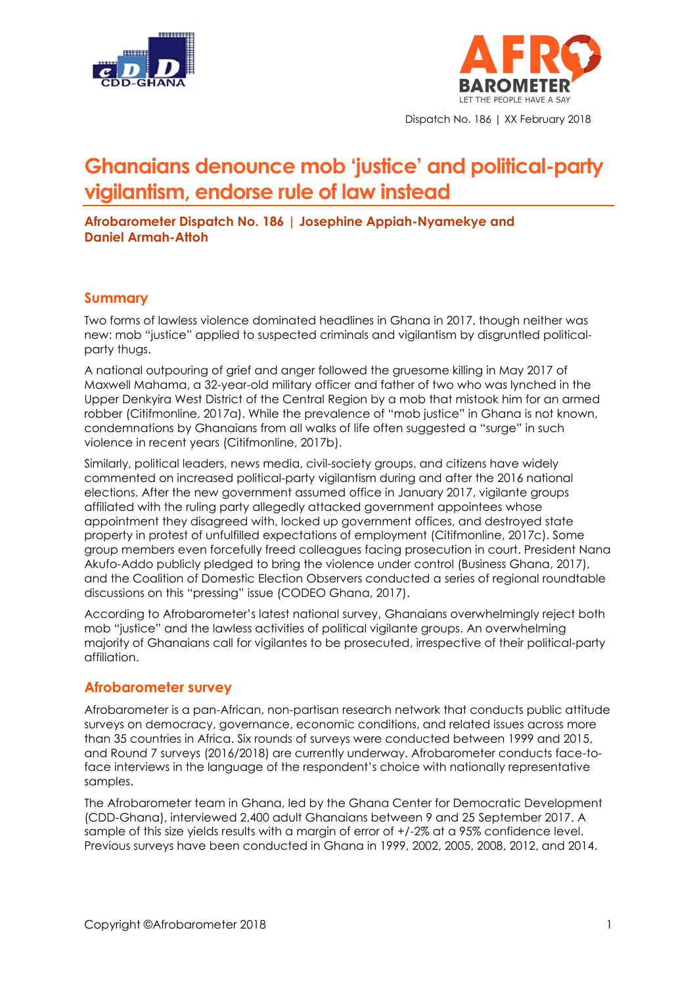



**Ghanaians denounce mob 'justice' and political-party vigilantism, endorse rule of law instead**

**Afrobarometer Dispatch No. 186 | Josephine Appiah-Nyamekye and Daniel Armah-Attoh**

#### **Summary**

Two forms of lawless violence dominated headlines in Ghana in 2017, though neither was new: mob "justice" applied to suspected criminals and vigilantism by disgruntled politicalparty thugs.

A national outpouring of grief and anger followed the [gruesome](http://citifmonline.com/2017/05/30/soldier-mistakenly-lynched-and-burnt-at-diaso/) killing in May 2017 of Maxwell [Mahama,](http://citifmonline.com/2017/05/30/soldier-mistakenly-lynched-and-burnt-at-diaso/) a 32-year-old military officer and father of two who was lynched in the Upper Denkyira West District of the Central Region by a mob that mistook him for an armed robber (Citifmonline, 2017a). While the prevalence of "mob justice" in Ghana is not known, condemnations by Ghanaians from all walks of life often suggested a "surge" in such violence in recent years (Citifmonline, 2017b).

Similarly, political leaders, news media, civil-society groups, and citizens have widely commented on increased political-party vigilantism during and after the 2016 national elections. After the new government assumed office in January 2017, vigilante groups affiliated with the ruling party allegedly attacked government appointees whose appointment they disagreed with, locked up government offices, and destroyed state property in protest of unfulfilled expectations of employment (Citifmonline, 2017c). Some group members even forcefully freed colleagues facing prosecution in court. President Nana Akufo-Addo publicly pledged to bring the violence under control (Business Ghana, 2017), and the Coalition of Domestic Election Observers conducted a series of regional roundtable discussions on this "pressing" issue (CODEO Ghana, 2017).

According to Afrobarometer's latest national survey, Ghanaians overwhelmingly reject both mob "justice" and the lawless activities of political vigilante groups. An overwhelming majority of Ghanaians call for vigilantes to be prosecuted, irrespective of their political-party affiliation.

### **Afrobarometer survey**

Afrobarometer is a pan-African, non-partisan research network that conducts public attitude surveys on democracy, governance, economic conditions, and related issues across more than 35 countries in Africa. Six rounds of surveys were conducted between 1999 and 2015, and Round 7 surveys (2016/2018) are currently underway. Afrobarometer conducts face-toface interviews in the language of the respondent's choice with nationally representative samples.

The Afrobarometer team in Ghana, led by the Ghana Center for Democratic Development (CDD-Ghana), interviewed 2,400 adult Ghanaians between 9 and 25 September 2017. A sample of this size yields results with a margin of error of +/-2% at a 95% confidence level. Previous surveys have been conducted in Ghana in 1999, 2002, 2005, 2008, 2012, and 2014.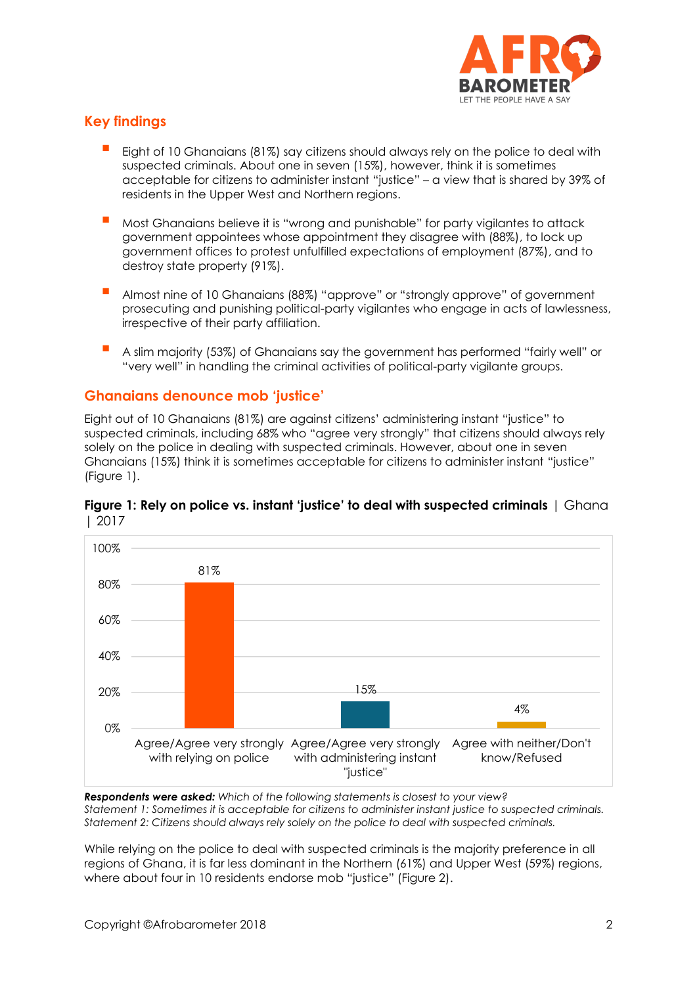

# **Key findings**

- Eight of 10 Ghanaians (81%) say citizens should always rely on the police to deal with suspected criminals. About one in seven (15%), however, think it is sometimes acceptable for citizens to administer instant "justice" – a view that is shared by 39% of residents in the Upper West and Northern regions.
- Most Ghanaians believe it is "wrong and punishable" for party vigilantes to attack government appointees whose appointment they disagree with (88%), to lock up government offices to protest unfulfilled expectations of employment (87%), and to destroy state property (91%).
- Almost nine of 10 Ghanaians (88%) "approve" or "strongly approve" of government prosecuting and punishing political-party vigilantes who engage in acts of lawlessness, irrespective of their party affiliation.
- A slim majority (53%) of Ghanaians say the government has performed "fairly well" or "very well" in handling the criminal activities of political-party vigilante groups.

### **Ghanaians denounce mob 'justice'**

Eight out of 10 Ghanaians (81%) are against citizens' administering instant "justice" to suspected criminals, including 68% who "agree very strongly" that citizens should always rely solely on the police in dealing with suspected criminals. However, about one in seven Ghanaians (15%) think it is sometimes acceptable for citizens to administer instant "justice" (Figure 1).



#### **Figure 1: Rely on police vs. instant 'justice' to deal with suspected criminals** | Ghana | 2017

*Respondents were asked: Which of the following statements is closest to your view? Statement 1: Sometimes it is acceptable for citizens to administer instant justice to suspected criminals. Statement 2: Citizens should always rely solely on the police to deal with suspected criminals.*

While relying on the police to deal with suspected criminals is the majority preference in all regions of Ghana, it is far less dominant in the Northern (61%) and Upper West (59%) regions, where about four in 10 residents endorse mob "justice" (Figure 2).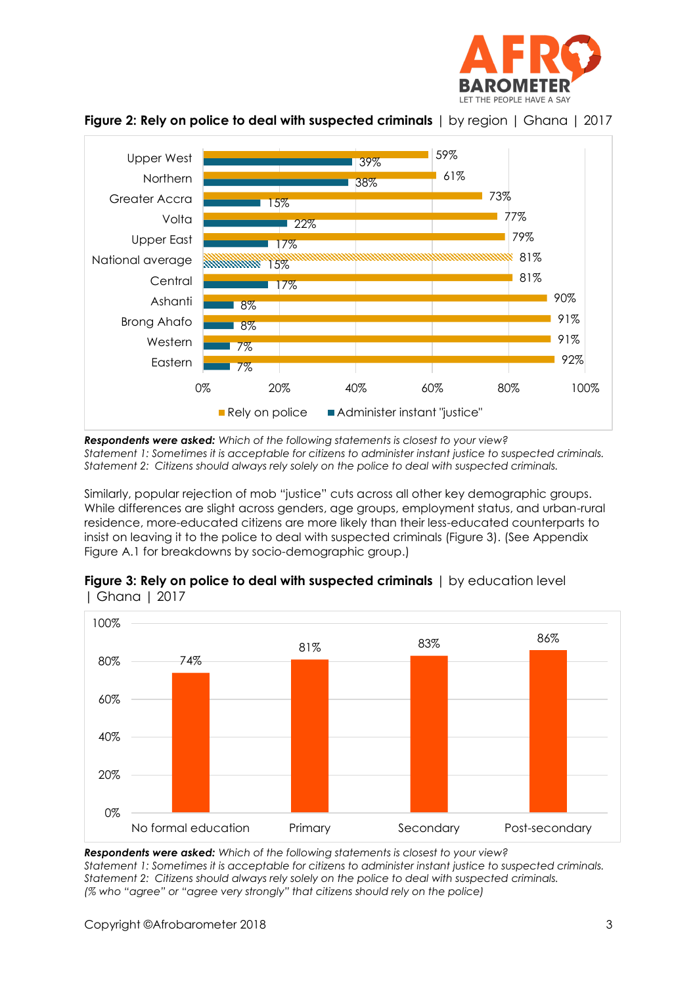



**Figure 2: Rely on police to deal with suspected criminals** | by region | Ghana | 2017

*Respondents were asked: Which of the following statements is closest to your view? Statement 1: Sometimes it is acceptable for citizens to administer instant justice to suspected criminals. Statement 2: Citizens should always rely solely on the police to deal with suspected criminals.*

Similarly, popular rejection of mob "justice" cuts across all other key demographic groups. While differences are slight across genders, age groups, employment status, and urban-rural residence, more-educated citizens are more likely than their less-educated counterparts to insist on leaving it to the police to deal with suspected criminals (Figure 3). (See Appendix Figure A.1 for breakdowns by socio-demographic group.)



|              | <b>Figure 3: Rely on police to deal with suspected criminals</b>   by education level |  |
|--------------|---------------------------------------------------------------------------------------|--|
| Ghana   2017 |                                                                                       |  |

*Respondents were asked: Which of the following statements is closest to your view? Statement 1: Sometimes it is acceptable for citizens to administer instant justice to suspected criminals. Statement 2: Citizens should always rely solely on the police to deal with suspected criminals. (% who "agree" or "agree very strongly" that citizens should rely on the police)*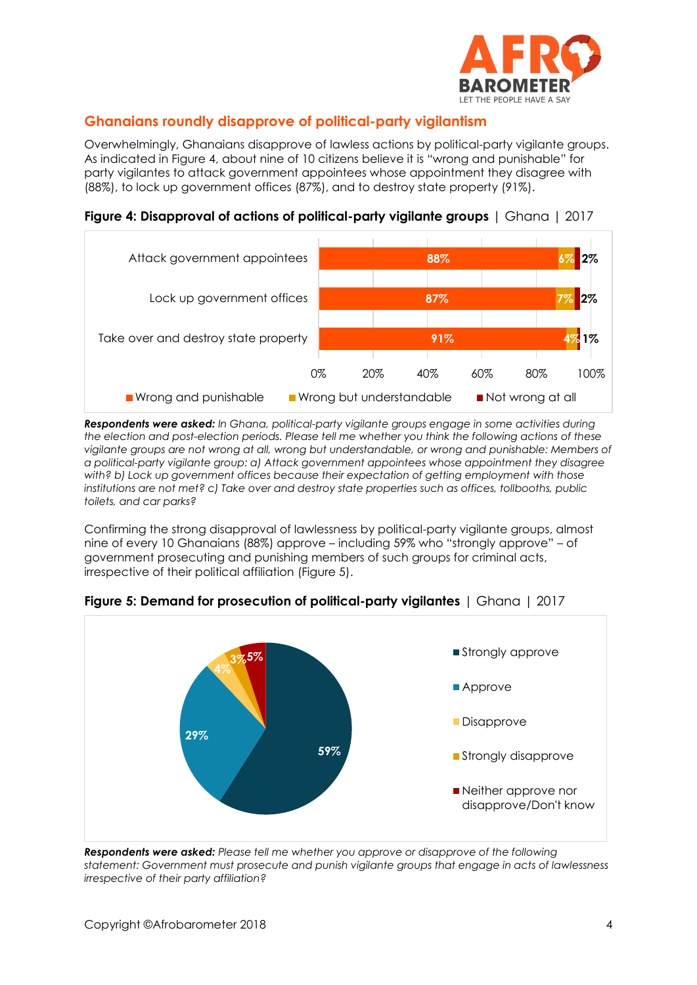

## **Ghanaians roundly disapprove of political-party vigilantism**

Overwhelmingly, Ghanaians disapprove of lawless actions by political-party vigilante groups. As indicated in Figure 4, about nine of 10 citizens believe it is "wrong and punishable" for party vigilantes to attack government appointees whose appointment they disagree with (88%), to lock up government offices (87%), and to destroy state property (91%).

**Figure 4: Disapproval of actions of political-party vigilante groups** | Ghana | 2017



*Respondents were asked: In Ghana, political-party vigilante groups engage in some activities during the election and post-election periods. Please tell me whether you think the following actions of these vigilante groups are not wrong at all, wrong but understandable, or wrong and punishable: Members of a political-party vigilante group: a) Attack government appointees whose appointment they disagree with? b) Lock up government offices because their expectation of getting employment with those institutions are not met? c) Take over and destroy state properties such as offices, tollbooths, public toilets, and car parks?*

Confirming the strong disapproval of lawlessness by political-party vigilante groups, almost nine of every 10 Ghanaians (88%) approve – including 59% who "strongly approve" – of government prosecuting and punishing members of such groups for criminal acts, irrespective of their political affiliation (Figure 5).



**Figure 5: Demand for prosecution of political-party vigilantes** | Ghana | 2017

*Respondents were asked: Please tell me whether you approve or disapprove of the following statement: Government must prosecute and punish vigilante groups that engage in acts of lawlessness irrespective of their party affiliation?*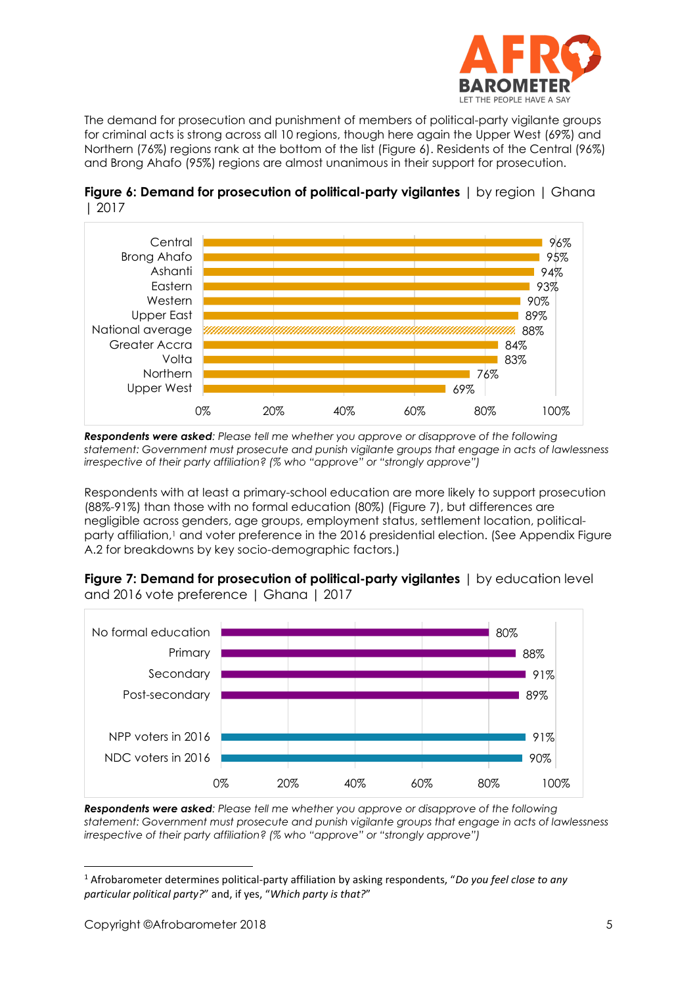

The demand for prosecution and punishment of members of political-party vigilante groups for criminal acts is strong across all 10 regions, though here again the Upper West (69%) and Northern (76%) regions rank at the bottom of the list (Figure 6). Residents of the Central (96%) and Brong Ahafo (95%) regions are almost unanimous in their support for prosecution.





*Respondents were asked: Please tell me whether you approve or disapprove of the following statement: Government must prosecute and punish vigilante groups that engage in acts of lawlessness irrespective of their party affiliation? (% who "approve" or "strongly approve")*

Respondents with at least a primary-school education are more likely to support prosecution (88%-91%) than those with no formal education (80%) (Figure 7), but differences are negligible across genders, age groups, employment status, settlement location, politicalparty affiliation,<sup>1</sup> and voter preference in the 2016 presidential election. (See Appendix Figure A.2 for breakdowns by key socio-demographic factors.)

**Figure 7: Demand for prosecution of political-party vigilantes** | by education level and 2016 vote preference | Ghana | 2017



*Respondents were asked: Please tell me whether you approve or disapprove of the following statement: Government must prosecute and punish vigilante groups that engage in acts of lawlessness irrespective of their party affiliation? (% who "approve" or "strongly approve")*

 $\overline{a}$ 

<sup>1</sup> Afrobarometer determines political-party affiliation by asking respondents, "*Do you feel close to any particular political party?*" and, if yes, "*Which party is that?*"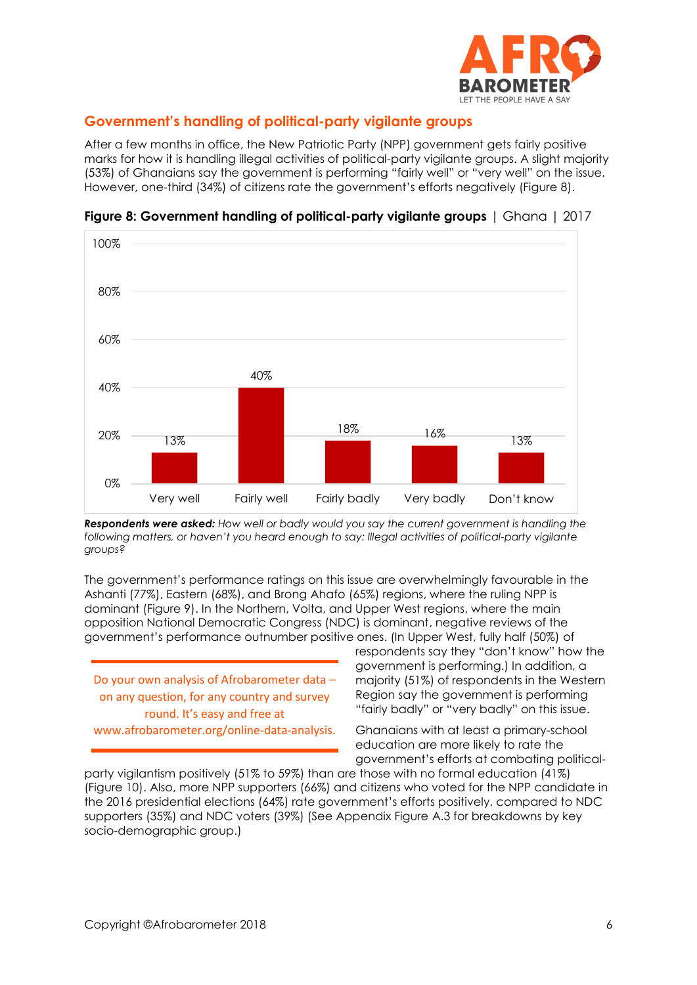

## **Government's handling of political-party vigilante groups**

After a few months in office, the New Patriotic Party (NPP) government gets fairly positive marks for how it is handling illegal activities of political-party vigilante groups. A slight majority (53%) of Ghanaians say the government is performing "fairly well" or "very well" on the issue. However, one-third (34%) of citizens rate the government's efforts negatively (Figure 8).



**Figure 8: Government handling of political-party vigilante groups** | Ghana | 2017

*Respondents were asked: How well or badly would you say the current government is handling the following matters, or haven't you heard enough to say: Illegal activities of political-party vigilante groups?*

The government's performance ratings on this issue are overwhelmingly favourable in the Ashanti (77%), Eastern (68%), and Brong Ahafo (65%) regions, where the ruling NPP is dominant (Figure 9). In the Northern, Volta, and Upper West regions, where the main opposition National Democratic Congress (NDC) is dominant, negative reviews of the government's performance outnumber positive ones. (In Upper West, fully half (50%) of

Do your own analysis of Afrobarometer data – on any question, for any country and survey round. It's easy and free at

www.afrobarometer.org/online-data-analysis.

respondents say they "don't know" how the government is performing.) In addition, a majority (51%) of respondents in the Western Region say the government is performing "fairly badly" or "very badly" on this issue.

Ghanaians with at least a primary-school education are more likely to rate the government's efforts at combating political-

party vigilantism positively (51% to 59%) than are those with no formal education (41%) (Figure 10). Also, more NPP supporters (66%) and citizens who voted for the NPP candidate in the 2016 presidential elections (64%) rate government's efforts positively, compared to NDC supporters (35%) and NDC voters (39%) (See Appendix Figure A.3 for breakdowns by key socio-demographic group.)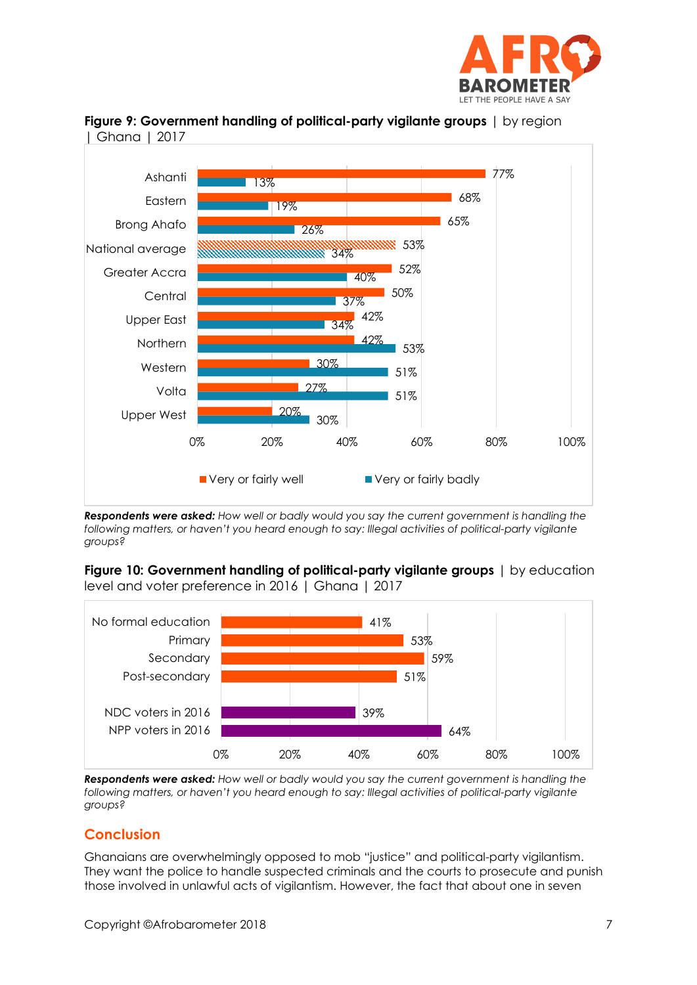





*Respondents were asked: How well or badly would you say the current government is handling the following matters, or haven't you heard enough to say: Illegal activities of political-party vigilante groups?*

**Figure 10: Government handling of political-party vigilante groups** I by education level and voter preference in 2016 | Ghana | 2017



*Respondents were asked: How well or badly would you say the current government is handling the following matters, or haven't you heard enough to say: Illegal activities of political-party vigilante groups?*

## **Conclusion**

Ghanaians are overwhelmingly opposed to mob "justice" and political-party vigilantism. They want the police to handle suspected criminals and the courts to prosecute and punish those involved in unlawful acts of vigilantism. However, the fact that about one in seven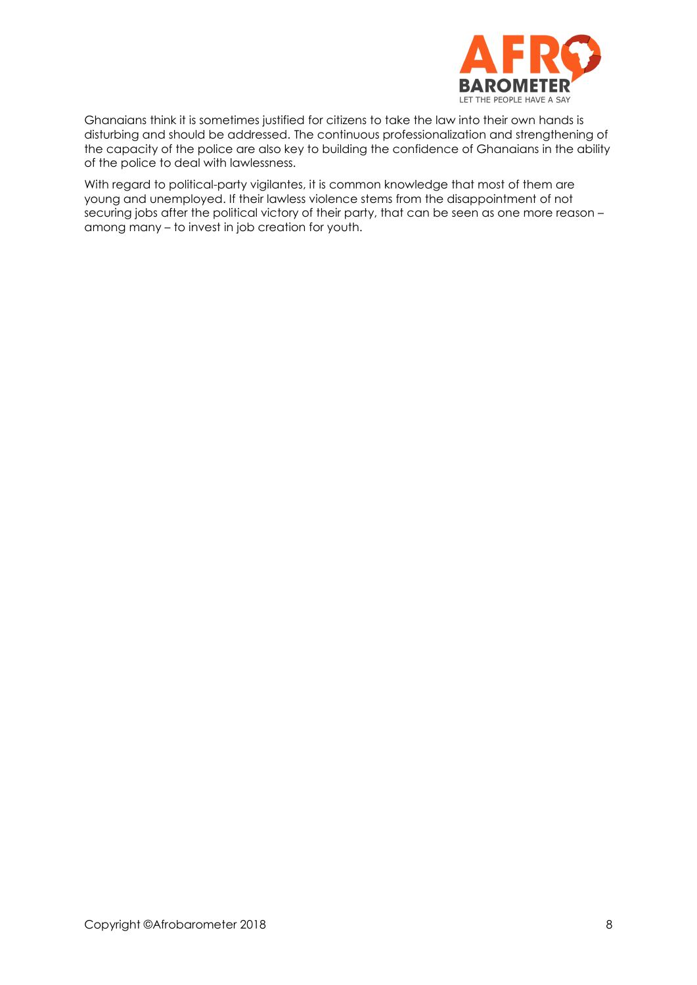

Ghanaians think it is sometimes justified for citizens to take the law into their own hands is disturbing and should be addressed. The continuous professionalization and strengthening of the capacity of the police are also key to building the confidence of Ghanaians in the ability of the police to deal with lawlessness.

With regard to political-party vigilantes, it is common knowledge that most of them are young and unemployed. If their lawless violence stems from the disappointment of not securing jobs after the political victory of their party, that can be seen as one more reason – among many – to invest in job creation for youth.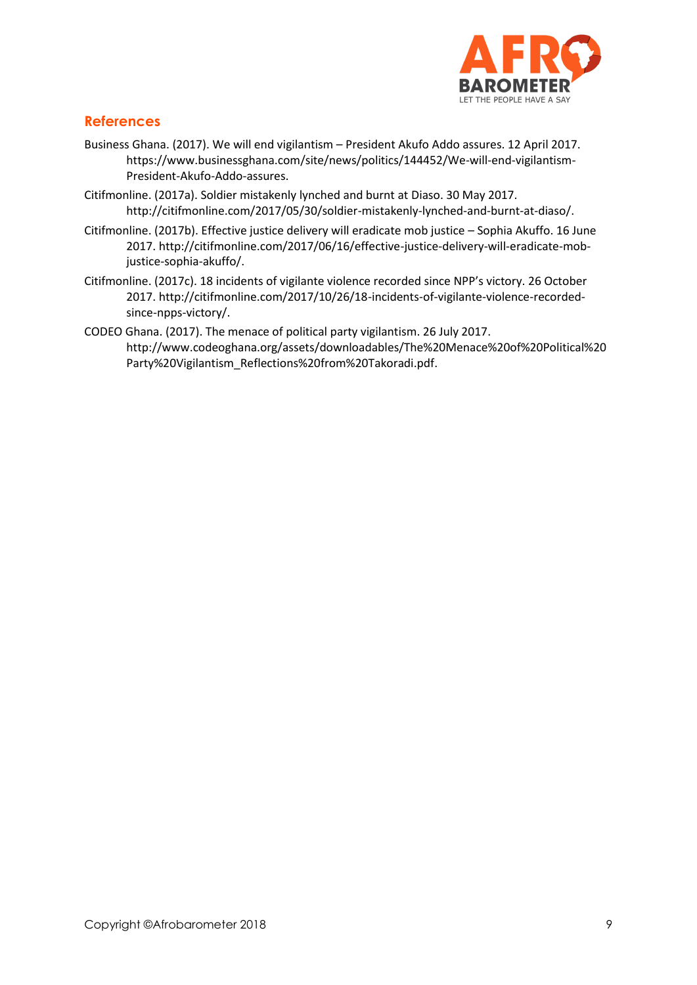

## **References**

- Business Ghana. (2017). We will end vigilantism President Akufo Addo assures. 12 April 2017. [https://www.businessghana.com/site/news/politics/144452/We-will-end-vigilantism-](https://www.businessghana.com/site/news/politics/144452/We-will-end-vigilantism-President-Akufo-Addo-assures)[President-Akufo-Addo-assures.](https://www.businessghana.com/site/news/politics/144452/We-will-end-vigilantism-President-Akufo-Addo-assures)
- Citifmonline. (2017a). Soldier mistakenly lynched and burnt at Diaso. 30 May 2017. http://citifmonline.com/2017/05/30/soldier-mistakenly-lynched-and-burnt-at-diaso/.
- Citifmonline. (2017b). Effective justice delivery will eradicate mob justice Sophia Akuffo. 16 June 2017[. http://citifmonline.com/2017/06/16/effective-justice-delivery-will-eradicate-mob](http://citifmonline.com/2017/06/16/effective-justice-delivery-will-eradicate-mob-justice-sophia-akuffo/)[justice-sophia-akuffo/.](http://citifmonline.com/2017/06/16/effective-justice-delivery-will-eradicate-mob-justice-sophia-akuffo/)
- Citifmonline. (2017c). 18 incidents of vigilante violence recorded since NPP's victory. 26 October 2017. http://citifmonline.com/2017/10/26/18-incidents-of-vigilante-violence-recordedsince-npps-victory/.
- CODEO Ghana. (2017). The menace of political party vigilantism. 26 July 2017. [http://www.codeoghana.org/assets/downloadables/The%20Menace%20of%20Political%20](http://www.codeoghana.org/assets/downloadables/The%20Menace%20of%20Political%20Party%20Vigilantism_Reflections%20from%20Takoradi.pdf) [Party%20Vigilantism\\_Reflections%20from%20Takoradi.pdf.](http://www.codeoghana.org/assets/downloadables/The%20Menace%20of%20Political%20Party%20Vigilantism_Reflections%20from%20Takoradi.pdf)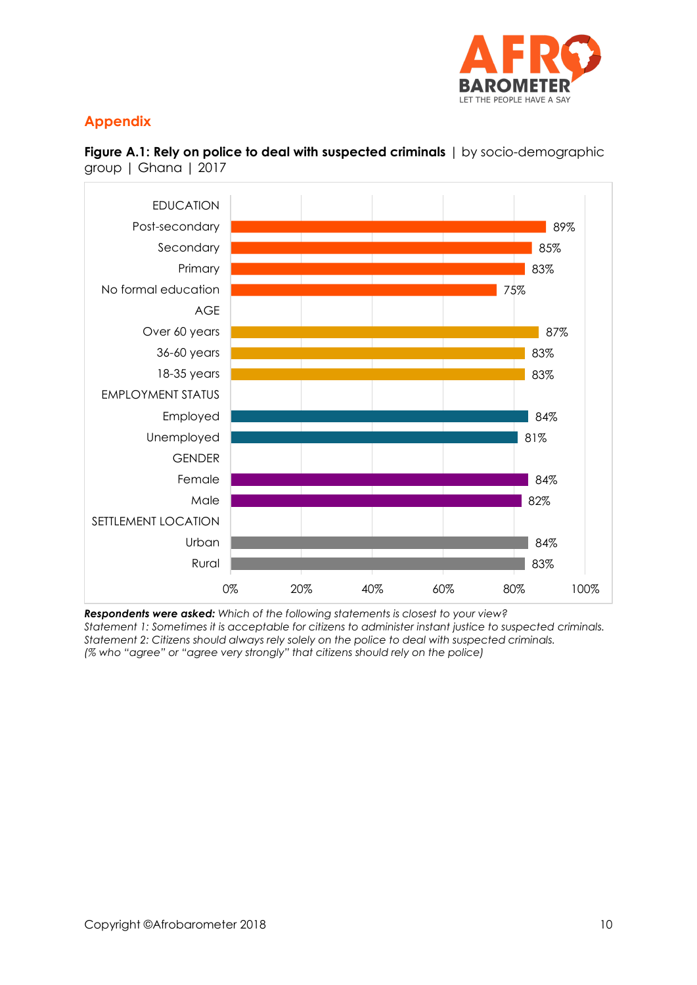

# **Appendix**



**Figure A.1: Rely on police to deal with suspected criminals** | by socio-demographic group | Ghana | 2017

*Respondents were asked: Which of the following statements is closest to your view? Statement 1: Sometimes it is acceptable for citizens to administer instant justice to suspected criminals. Statement 2: Citizens should always rely solely on the police to deal with suspected criminals. (% who "agree" or "agree very strongly" that citizens should rely on the police)*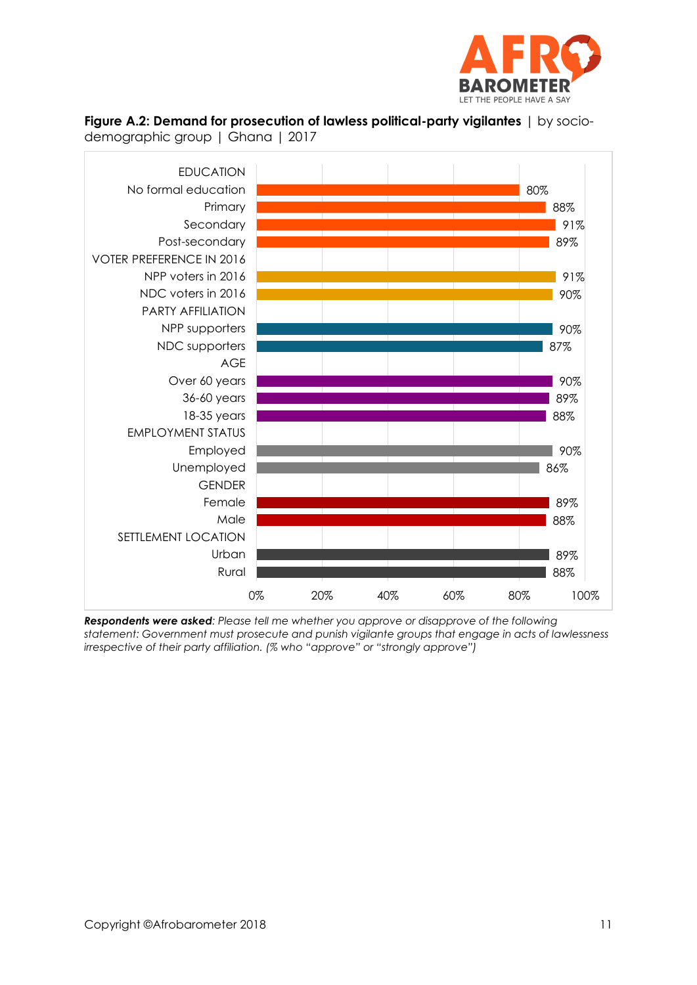

#### **Figure A.2: Demand for prosecution of lawless political-party vigilantes** | by sociodemographic group | Ghana | 2017



*Respondents were asked: Please tell me whether you approve or disapprove of the following statement: Government must prosecute and punish vigilante groups that engage in acts of lawlessness irrespective of their party affiliation. (% who "approve" or "strongly approve")*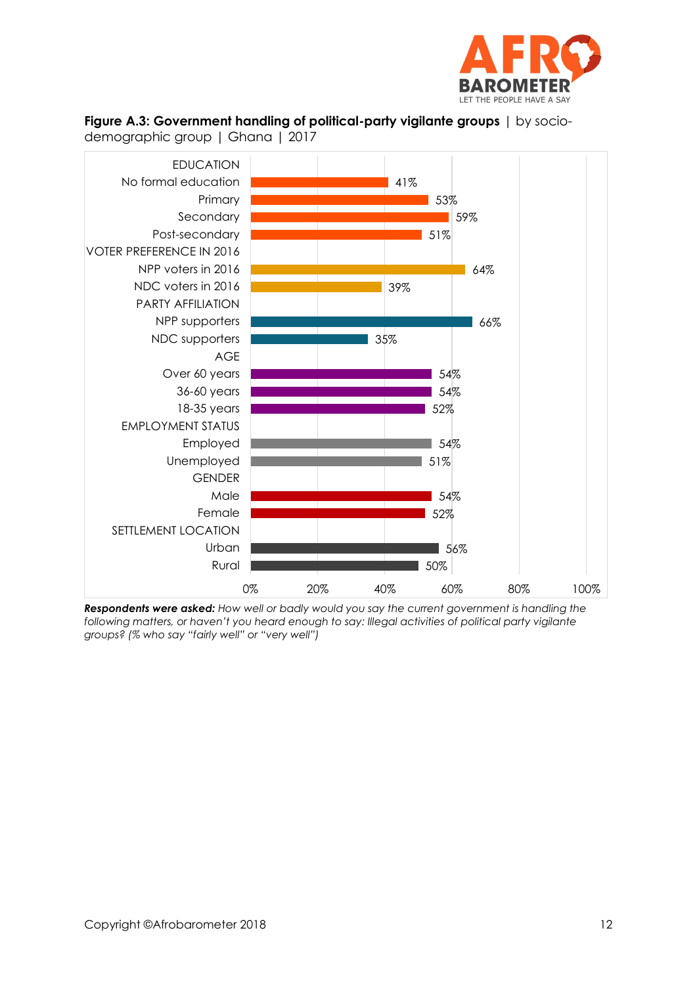





demographic group | Ghana | 2017

*Respondents were asked: How well or badly would you say the current government is handling the following matters, or haven't you heard enough to say: Illegal activities of political party vigilante groups? (% who say "fairly well" or "very well")*